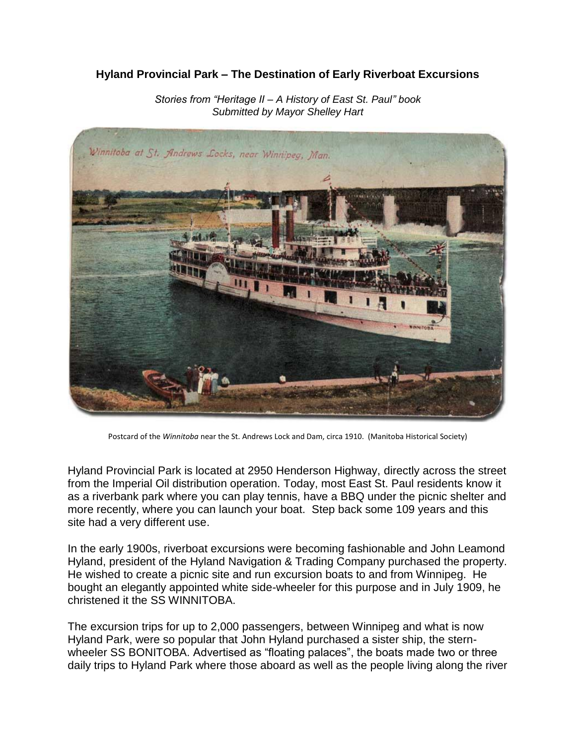## **Hyland Provincial Park – The Destination of Early Riverboat Excursions**



*Stories from "Heritage II – A History of East St. Paul" book Submitted by Mayor Shelley Hart*

Postcard of the *Winnitoba* near the St. Andrews Lock and Dam, circa 1910. (Manitoba Historical Society)

Hyland Provincial Park is located at 2950 Henderson Highway, directly across the street from the Imperial Oil distribution operation. Today, most East St. Paul residents know it as a riverbank park where you can play tennis, have a BBQ under the picnic shelter and more recently, where you can launch your boat. Step back some 109 years and this site had a very different use.

In the early 1900s, riverboat excursions were becoming fashionable and John Leamond Hyland, president of the Hyland Navigation & Trading Company purchased the property. He wished to create a picnic site and run excursion boats to and from Winnipeg. He bought an elegantly appointed white side-wheeler for this purpose and in July 1909, he christened it the SS WINNITOBA.

The excursion trips for up to 2,000 passengers, between Winnipeg and what is now Hyland Park, were so popular that John Hyland purchased a sister ship, the sternwheeler SS BONITOBA. Advertised as "floating palaces", the boats made two or three daily trips to Hyland Park where those aboard as well as the people living along the river